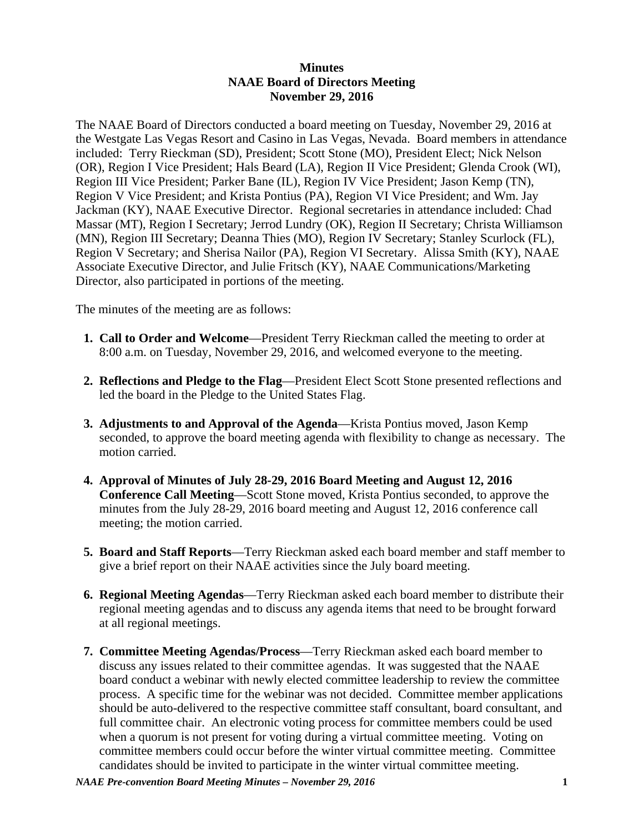## **Minutes NAAE Board of Directors Meeting November 29, 2016**

The NAAE Board of Directors conducted a board meeting on Tuesday, November 29, 2016 at the Westgate Las Vegas Resort and Casino in Las Vegas, Nevada. Board members in attendance included: Terry Rieckman (SD), President; Scott Stone (MO), President Elect; Nick Nelson (OR), Region I Vice President; Hals Beard (LA), Region II Vice President; Glenda Crook (WI), Region III Vice President; Parker Bane (IL), Region IV Vice President; Jason Kemp (TN), Region V Vice President; and Krista Pontius (PA), Region VI Vice President; and Wm. Jay Jackman (KY), NAAE Executive Director. Regional secretaries in attendance included: Chad Massar (MT), Region I Secretary; Jerrod Lundry (OK), Region II Secretary; Christa Williamson (MN), Region III Secretary; Deanna Thies (MO), Region IV Secretary; Stanley Scurlock (FL), Region V Secretary; and Sherisa Nailor (PA), Region VI Secretary. Alissa Smith (KY), NAAE Associate Executive Director, and Julie Fritsch (KY), NAAE Communications/Marketing Director, also participated in portions of the meeting.

The minutes of the meeting are as follows:

- **1. Call to Order and Welcome**—President Terry Rieckman called the meeting to order at 8:00 a.m. on Tuesday, November 29, 2016, and welcomed everyone to the meeting.
- **2. Reflections and Pledge to the Flag**—President Elect Scott Stone presented reflections and led the board in the Pledge to the United States Flag.
- **3. Adjustments to and Approval of the Agenda**—Krista Pontius moved, Jason Kemp seconded, to approve the board meeting agenda with flexibility to change as necessary. The motion carried.
- **4. Approval of Minutes of July 28-29, 2016 Board Meeting and August 12, 2016 Conference Call Meeting**—Scott Stone moved, Krista Pontius seconded, to approve the minutes from the July 28-29, 2016 board meeting and August 12, 2016 conference call meeting; the motion carried.
- **5. Board and Staff Reports**—Terry Rieckman asked each board member and staff member to give a brief report on their NAAE activities since the July board meeting.
- **6. Regional Meeting Agendas**—Terry Rieckman asked each board member to distribute their regional meeting agendas and to discuss any agenda items that need to be brought forward at all regional meetings.
- **7. Committee Meeting Agendas/Process**—Terry Rieckman asked each board member to discuss any issues related to their committee agendas. It was suggested that the NAAE board conduct a webinar with newly elected committee leadership to review the committee process. A specific time for the webinar was not decided. Committee member applications should be auto-delivered to the respective committee staff consultant, board consultant, and full committee chair. An electronic voting process for committee members could be used when a quorum is not present for voting during a virtual committee meeting. Voting on committee members could occur before the winter virtual committee meeting. Committee candidates should be invited to participate in the winter virtual committee meeting.